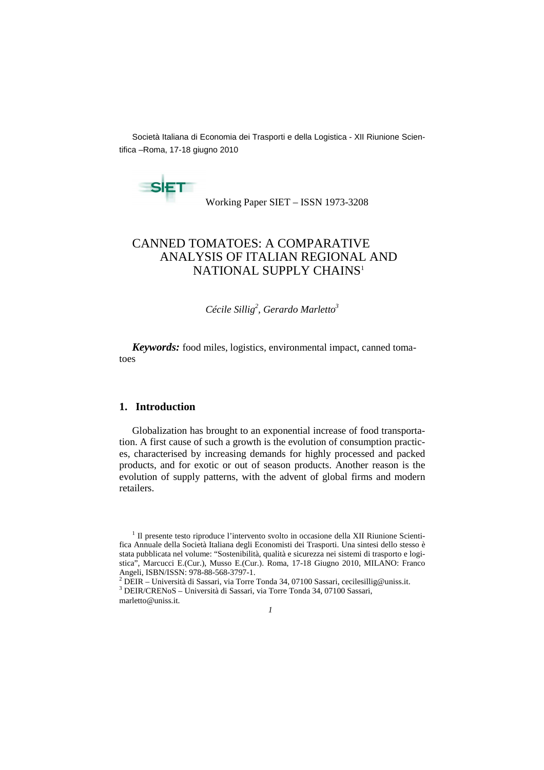Società Italiana di Economia dei Trasporti e della Logistica - XII Riunione Scientifica –Roma, 17-18 giugno 2010

**SET** 

Working Paper SIET – ISSN 1973-3208

# CANNED TOMATOES: A COMPARATIVE ANALYSIS OF ITALIAN REGIONAL AND NATIONAL SUPPLY CHAINS<sup>1</sup>

*Cécile Sillig<sup>2</sup> , Gerardo Marletto<sup>3</sup>*

*Keywords:* food miles, logistics, environmental impact, canned tomatoes

## **1. Introduction**

Globalization has brought to an exponential increase of food transportation. A first cause of such a growth is the evolution of consumption practices, characterised by increasing demands for highly processed and packed products, and for exotic or out of season products. Another reason is the evolution of supply patterns, with the advent of global firms and modern retailers.

<sup>3</sup> DEIR/CRENoS – Università di Sassari, via Torre Tonda 34, 07100 Sassari, marletto@uniss.it.



<sup>&</sup>lt;sup>1</sup> Il presente testo riproduce l'intervento svolto in occasione della XII Riunione Scientifica Annuale della Società Italiana degli Economisti dei Trasporti. Una sintesi dello stesso è stata pubblicata nel volume: "Sostenibilità, qualità e sicurezza nei sistemi di trasporto e logistica", Marcucci E.(Cur.), Musso E.(Cur.). Roma, 17-18 Giugno 2010, MILANO: Franco Angeli, ISBN/ISSN: 978-88-568-3797-1.<br><sup>2</sup> DEIR – Università di Sassari, via Torre Tonda 34, 07100 Sassari, cecilesillig@uniss.it.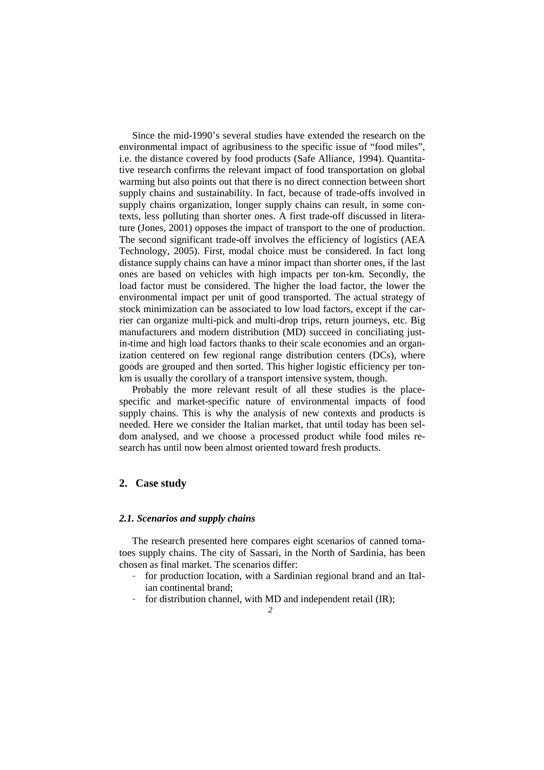Since the mid-1990's several studies have extended the research on the environmental impact of agribusiness to the specific issue of "food miles", i.e. the distance covered by food products (Safe Alliance, 1994). Quantitative research confirms the relevant impact of food transportation on global warming but also points out that there is no direct connection between short supply chains and sustainability. In fact, because of trade-offs involved in supply chains organization, longer supply chains can result, in some contexts, less polluting than shorter ones. A first trade-off discussed in literature (Jones, 2001) opposes the impact of transport to the one of production. The second significant trade-off involves the efficiency of logistics (AEA Technology, 2005). First, modal choice must be considered. In fact long distance supply chains can have a minor impact than shorter ones, if the last ones are based on vehicles with high impacts per ton-km. Secondly, the load factor must be considered. The higher the load factor, the lower the environmental impact per unit of good transported. The actual strategy of stock minimization can be associated to low load factors, except if the carrier can organize multi-pick and multi-drop trips, return journeys, etc. Big manufacturers and modern distribution (MD) succeed in conciliating justin-time and high load factors thanks to their scale economies and an organization centered on few regional range distribution centers (DCs), where goods are grouped and then sorted. This higher logistic efficiency per tonkm is usually the corollary of a transport intensive system, though.

Probably the more relevant result of all these studies is the placespecific and market-specific nature of environmental impacts of food supply chains. This is why the analysis of new contexts and products is needed. Here we consider the Italian market, that until today has been seldom analysed, and we choose a processed product while food miles research has until now been almost oriented toward fresh products.

## **2. Case study**

#### *2.1. Scenarios and supply chains*

The research presented here compares eight scenarios of canned tomatoes supply chains. The city of Sassari, in the North of Sardinia, has been chosen as final market. The scenarios differ:

- for production location, with a Sardinian regional brand and an Italian continental brand;
- for distribution channel, with MD and independent retail (IR);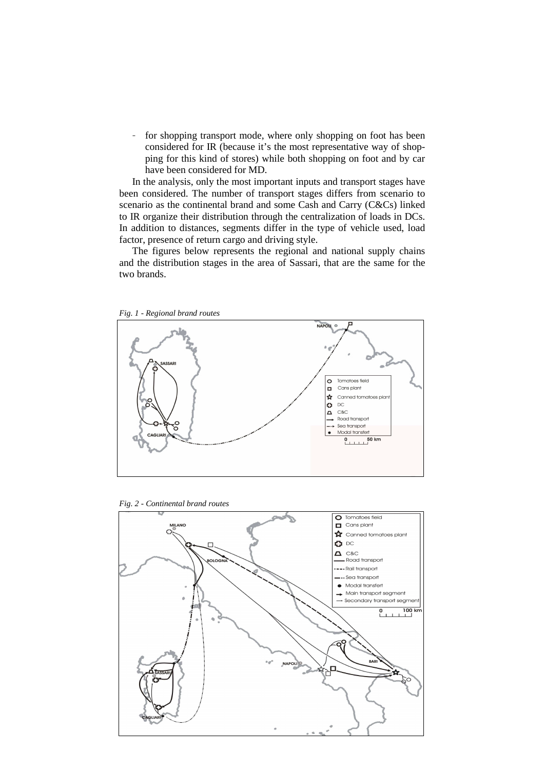– for shopping transport mode, where only shopping on foot has been considered for IR (because it's the most representative way of shopping for this kind of stores) while both shopping on foot and by car have been considered for MD.

In the analysis, only the most important inputs and transport stages have been considered. The number of transport stages differs from scenario to scenario as the continental brand and some Cash and Carry (C&Cs) linked to IR organize their distribution through the centralization of loads in DCs. In addition to distances, segments differ in the type of vehicle used, load factor, presence of return cargo and driving style.

The figures below represents the regional and national supply chains and the distribution stages in the area of Sassari, that are the same for the two brands.



*Fig. 1 - Regional brand routes* 

*Fig. 2 - Continental brand routes* 

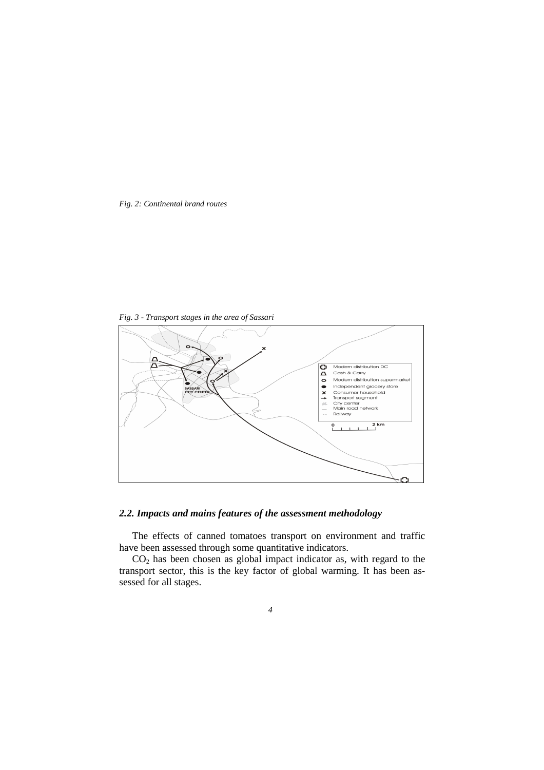*Fig. 2: Continental brand routes* 

*Fig. 3 - Transport stages in the area of Sassari* 



## *2.2. Impacts and mains features of the assessment methodology*

The effects of canned tomatoes transport on environment and traffic have been assessed through some quantitative indicators.

CO2 has been chosen as global impact indicator as, with regard to the transport sector, this is the key factor of global warming. It has been assessed for all stages.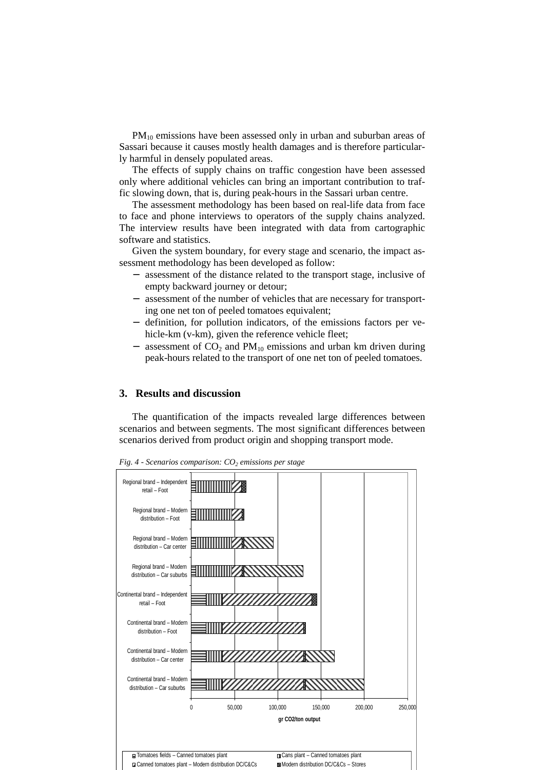$PM_{10}$  emissions have been assessed only in urban and suburban areas of Sassari because it causes mostly health damages and is therefore particularly harmful in densely populated areas.

The effects of supply chains on traffic congestion have been assessed only where additional vehicles can bring an important contribution to traffic slowing down, that is, during peak-hours in the Sassari urban centre.

The assessment methodology has been based on real-life data from face to face and phone interviews to operators of the supply chains analyzed. The interview results have been integrated with data from cartographic software and statistics.

Given the system boundary, for every stage and scenario, the impact assessment methodology has been developed as follow:

- assessment of the distance related to the transport stage, inclusive of empty backward journey or detour;
- − assessment of the number of vehicles that are necessary for transporting one net ton of peeled tomatoes equivalent;
- − definition, for pollution indicators, of the emissions factors per vehicle-km (v-km), given the reference vehicle fleet;
- assessment of  $CO<sub>2</sub>$  and PM<sub>10</sub> emissions and urban km driven during peak-hours related to the transport of one net ton of peeled tomatoes.

## **3. Results and discussion**

The quantification of the impacts revealed large differences between scenarios and between segments. The most significant differences between scenarios derived from product origin and shopping transport mode.



*Fig. 4 - Scenarios comparison: CO<sup>2</sup> emissions per stage*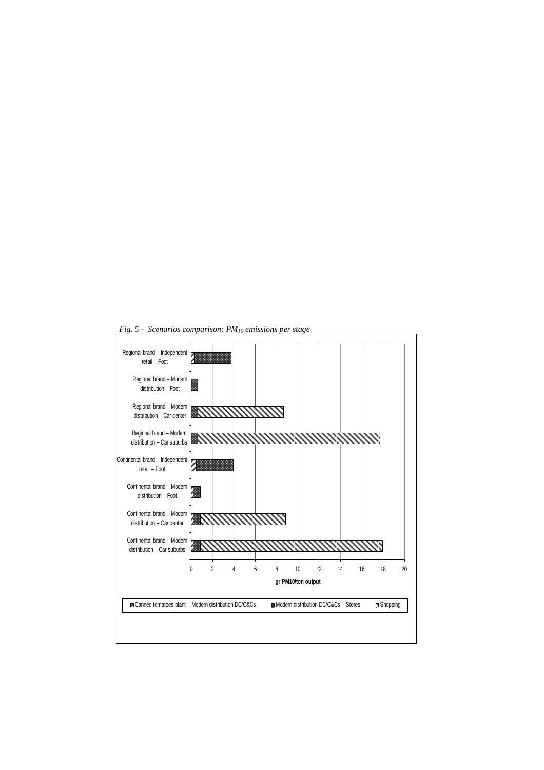

*Fig. 5 - Scenarios comparison: PM10 emissions per stage*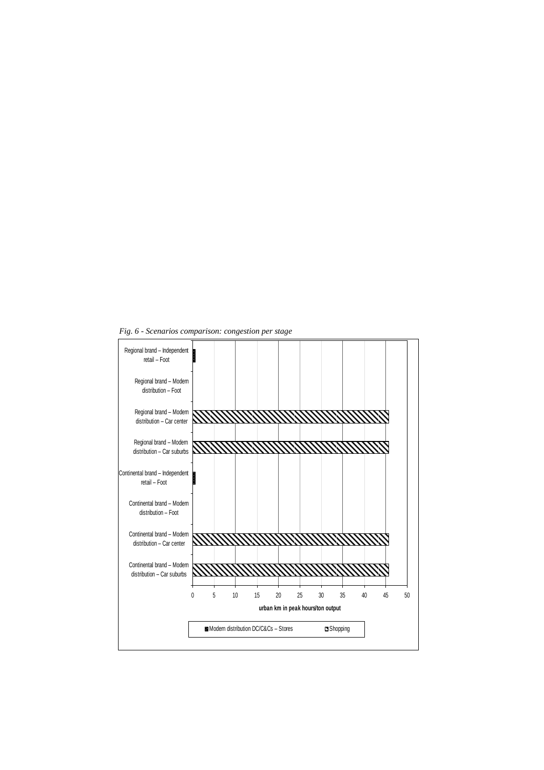*Fig. 6 - Scenarios comparison: congestion per stage*

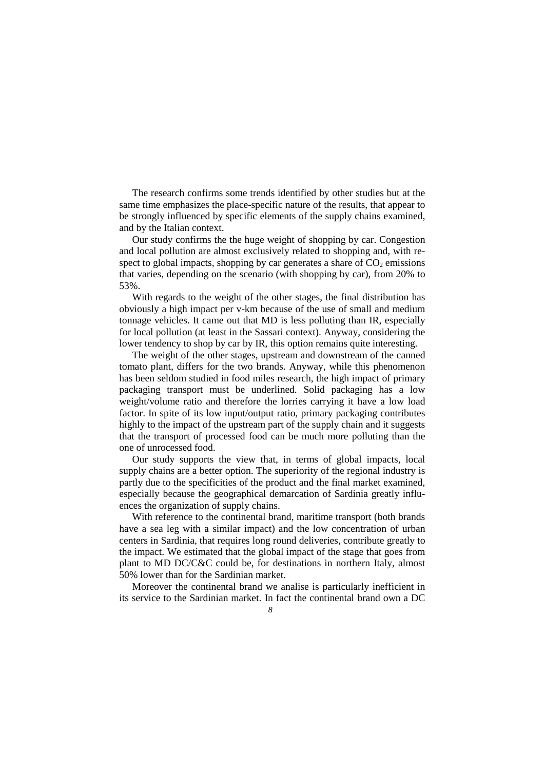The research confirms some trends identified by other studies but at the same time emphasizes the place-specific nature of the results, that appear to be strongly influenced by specific elements of the supply chains examined, and by the Italian context.

Our study confirms the the huge weight of shopping by car. Congestion and local pollution are almost exclusively related to shopping and, with respect to global impacts, shopping by car generates a share of  $CO<sub>2</sub>$  emissions that varies, depending on the scenario (with shopping by car), from 20% to 53%.

With regards to the weight of the other stages, the final distribution has obviously a high impact per v-km because of the use of small and medium tonnage vehicles. It came out that MD is less polluting than IR, especially for local pollution (at least in the Sassari context). Anyway, considering the lower tendency to shop by car by IR, this option remains quite interesting.

The weight of the other stages, upstream and downstream of the canned tomato plant, differs for the two brands. Anyway, while this phenomenon has been seldom studied in food miles research, the high impact of primary packaging transport must be underlined. Solid packaging has a low weight/volume ratio and therefore the lorries carrying it have a low load factor. In spite of its low input/output ratio, primary packaging contributes highly to the impact of the upstream part of the supply chain and it suggests that the transport of processed food can be much more polluting than the one of unrocessed food.

Our study supports the view that, in terms of global impacts, local supply chains are a better option. The superiority of the regional industry is partly due to the specificities of the product and the final market examined, especially because the geographical demarcation of Sardinia greatly influences the organization of supply chains.

With reference to the continental brand, maritime transport (both brands have a sea leg with a similar impact) and the low concentration of urban centers in Sardinia, that requires long round deliveries, contribute greatly to the impact. We estimated that the global impact of the stage that goes from plant to MD DC/C&C could be, for destinations in northern Italy, almost 50% lower than for the Sardinian market.

Moreover the continental brand we analise is particularly inefficient in its service to the Sardinian market. In fact the continental brand own a DC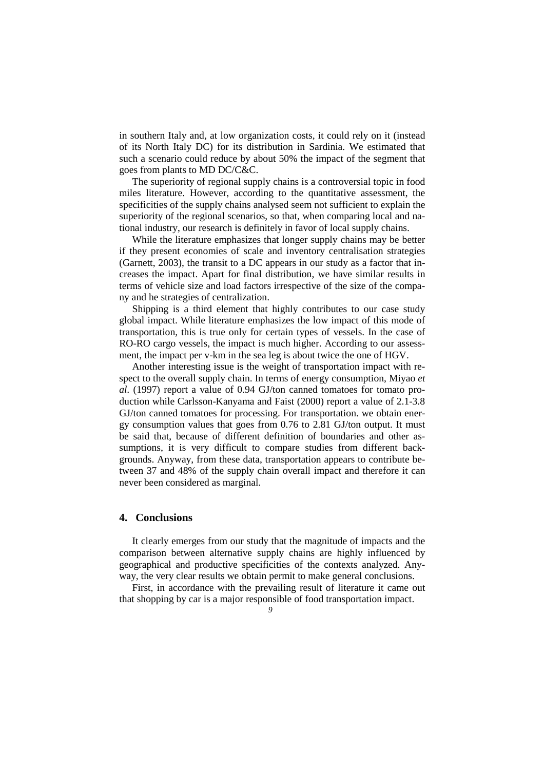in southern Italy and, at low organization costs, it could rely on it (instead of its North Italy DC) for its distribution in Sardinia. We estimated that such a scenario could reduce by about 50% the impact of the segment that goes from plants to MD DC/C&C.

The superiority of regional supply chains is a controversial topic in food miles literature. However, according to the quantitative assessment, the specificities of the supply chains analysed seem not sufficient to explain the superiority of the regional scenarios, so that, when comparing local and national industry, our research is definitely in favor of local supply chains.

While the literature emphasizes that longer supply chains may be better if they present economies of scale and inventory centralisation strategies (Garnett, 2003), the transit to a DC appears in our study as a factor that increases the impact. Apart for final distribution, we have similar results in terms of vehicle size and load factors irrespective of the size of the company and he strategies of centralization.

Shipping is a third element that highly contributes to our case study global impact. While literature emphasizes the low impact of this mode of transportation, this is true only for certain types of vessels. In the case of RO-RO cargo vessels, the impact is much higher. According to our assessment, the impact per v-km in the sea leg is about twice the one of HGV.

Another interesting issue is the weight of transportation impact with respect to the overall supply chain. In terms of energy consumption, Miyao *et al.* (1997) report a value of 0.94 GJ/ton canned tomatoes for tomato production while Carlsson-Kanyama and Faist (2000) report a value of 2.1-3.8 GJ/ton canned tomatoes for processing. For transportation. we obtain energy consumption values that goes from 0.76 to 2.81 GJ/ton output. It must be said that, because of different definition of boundaries and other assumptions, it is very difficult to compare studies from different backgrounds. Anyway, from these data, transportation appears to contribute between 37 and 48% of the supply chain overall impact and therefore it can never been considered as marginal.

#### **4. Conclusions**

It clearly emerges from our study that the magnitude of impacts and the comparison between alternative supply chains are highly influenced by geographical and productive specificities of the contexts analyzed. Anyway, the very clear results we obtain permit to make general conclusions.

First, in accordance with the prevailing result of literature it came out that shopping by car is a major responsible of food transportation impact.